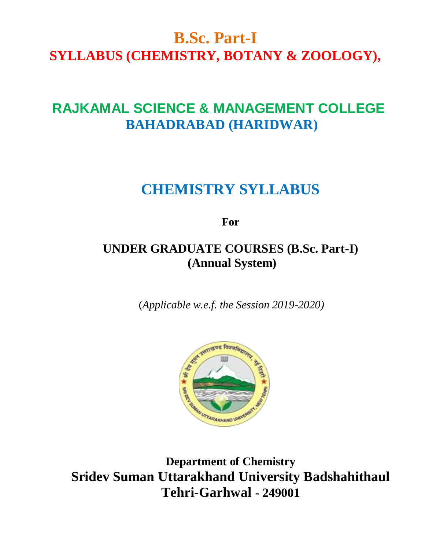# **B.Sc. Part-I SYLLABUS (CHEMISTRY, BOTANY & ZOOLOGY),**

# **RAJKAMAL SCIENCE & MANAGEMENT COLLEGE BAHADRABAD (HARIDWAR)**

# **CHEMISTRY SYLLABUS**

**For**

# **UNDER GRADUATE COURSES (B.Sc. Part-I) (Annual System)**

(*Applicable w.e.f. the Session 2019-2020)*



**Department of Chemistry Sridev Suman Uttarakhand University Badshahithaul Tehri-Garhwal - 249001**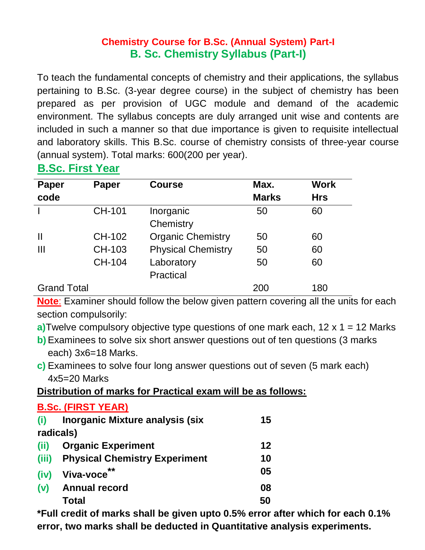# **Chemistry Course for B.Sc. (Annual System) Part-I B. Sc. Chemistry Syllabus (Part-I)**

To teach the fundamental concepts of chemistry and their applications, the syllabus pertaining to B.Sc. (3-year degree course) in the subject of chemistry has been prepared as per provision of UGC module and demand of the academic environment. The syllabus concepts are duly arranged unit wise and contents are included in such a manner so that due importance is given to requisite intellectual and laboratory skills. This B.Sc. course of chemistry consists of three-year course (annual system). Total marks: 600(200 per year).

# **B.Sc. First Year**

**B.Sc. (FIRST YEAR)**

| <b>Paper</b>       | Paper         | <b>Course</b>             | Max.         | <b>Work</b> |
|--------------------|---------------|---------------------------|--------------|-------------|
| code               |               |                           | <b>Marks</b> | <b>Hrs</b>  |
|                    | <b>CH-101</b> | Inorganic                 | 50           | 60          |
|                    |               | Chemistry                 |              |             |
| Ш                  | CH-102        | <b>Organic Chemistry</b>  | 50           | 60          |
| $\mathbf{III}$     | CH-103        | <b>Physical Chemistry</b> | 50           | 60          |
|                    | CH-104        | Laboratory                | 50           | 60          |
|                    |               | <b>Practical</b>          |              |             |
| <b>Grand Total</b> |               |                           | 200          | 180         |

**Note**: Examiner should follow the below given pattern covering all the units for each section compulsorily:

- **a)**Twelve compulsory objective type questions of one mark each, 12 x 1 = 12 Marks
- **b**) Examinees to solve six short answer questions out of ten questions (3 marks each) 3x6=18 Marks.
- **c)** Examinees to solve four long answer questions out of seven (5 mark each) 4x5=20 Marks

# **Distribution of marks for Practical exam will be as follows:**

|       | <b>B.SC. (FIRST YEAR)</b>              |    |
|-------|----------------------------------------|----|
| (i)   | <b>Inorganic Mixture analysis (six</b> | 15 |
|       | radicals)                              |    |
| (ii)  | <b>Organic Experiment</b>              | 12 |
| (iii) | <b>Physical Chemistry Experiment</b>   | 10 |
| (iv)  | Viva-voce                              | 05 |
| (v)   | <b>Annual record</b>                   | 08 |
|       | Total                                  | 50 |

**\*Full credit of marks shall be given upto 0.5% error after which for each 0.1% error, two marks shall be deducted in Quantitative analysis experiments.**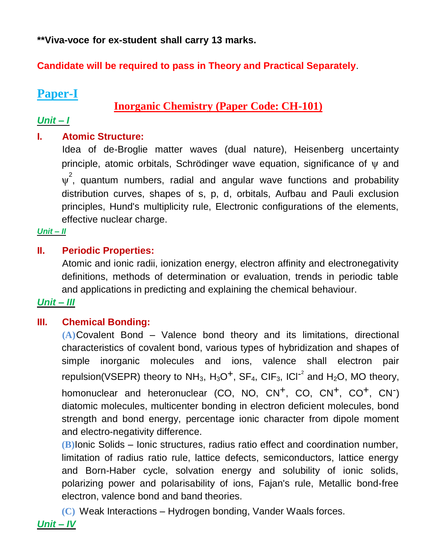**\*\*Viva-voce for ex-student shall carry 13 marks.**

# **Candidate will be required to pass in Theory and Practical Separately**.

# **Paper-I**

# **Inorganic Chemistry (Paper Code: CH-101)**

# *Unit – I*

# **I. Atomic Structure:**

Idea of de-Broglie matter waves (dual nature), Heisenberg uncertainty principle, atomic orbitals, Schrödinger wave equation, significance of ψ and  $\psi^2$ , quantum numbers, radial and angular wave functions and probability distribution curves, shapes of s, p, d, orbitals, Aufbau and Pauli exclusion principles, Hund's multiplicity rule, Electronic configurations of the elements, effective nuclear charge.

## *Unit – II*

# **II. Periodic Properties:**

Atomic and ionic radii, ionization energy, electron affinity and electronegativity definitions, methods of determination or evaluation, trends in periodic table and applications in predicting and explaining the chemical behaviour.

# *Unit – III*

# **III. Chemical Bonding:**

**(A)**Covalent Bond – Valence bond theory and its limitations, directional characteristics of covalent bond, various types of hybridization and shapes of simple inorganic molecules and ions, valence shall electron pair repulsion(VSEPR) theory to NH<sub>3</sub>, H<sub>3</sub>O<sup>+</sup>, SF<sub>4</sub>, CIF<sub>3</sub>, ICI<sup>-2</sup> and H<sub>2</sub>O, MO theory, homonuclear and heteronuclear (CO, NO, CN<sup>+</sup>, CO, CN<sup>+</sup>, CO<sup>+</sup>, CN<sup>-</sup>) diatomic molecules, multicenter bonding in electron deficient molecules, bond strength and bond energy, percentage ionic character from dipole moment and electro-negativity difference.

**(B)**Ionic Solids – Ionic structures, radius ratio effect and coordination number, limitation of radius ratio rule, lattice defects, semiconductors, lattice energy and Born-Haber cycle, solvation energy and solubility of ionic solids, polarizing power and polarisability of ions, Fajan's rule, Metallic bond-free electron, valence bond and band theories.

**(C)** Weak Interactions – Hydrogen bonding, Vander Waals forces.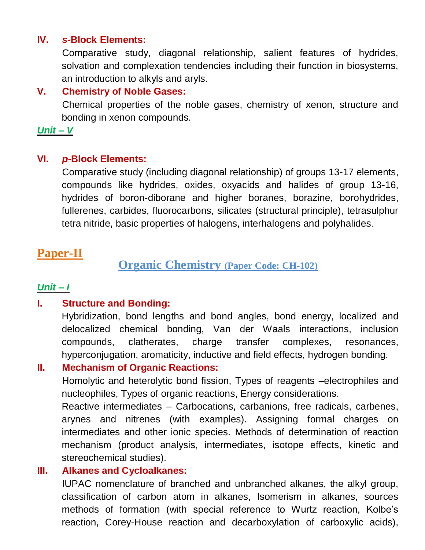#### **IV.** *s***-Block Elements:**

Comparative study, diagonal relationship, salient features of hydrides, solvation and complexation tendencies including their function in biosystems, an introduction to alkyls and aryls.

#### **V. Chemistry of Noble Gases:**

Chemical properties of the noble gases, chemistry of xenon, structure and bonding in xenon compounds.

*Unit – V*

#### **VI.** *p***-Block Elements:**

Comparative study (including diagonal relationship) of groups 13-17 elements, compounds like hydrides, oxides, oxyacids and halides of group 13-16, hydrides of boron-diborane and higher boranes, borazine, borohydrides, fullerenes, carbides, fluorocarbons, silicates (structural principle), tetrasulphur tetra nitride, basic properties of halogens, interhalogens and polyhalides.

# **Paper-II**

## **Organic Chemistry (Paper Code: CH-102)**

## *Unit – I*

#### **I. Structure and Bonding:**

Hybridization, bond lengths and bond angles, bond energy, localized and delocalized chemical bonding, Van der Waals interactions, inclusion compounds, clatherates, charge transfer complexes, resonances, hyperconjugation, aromaticity, inductive and field effects, hydrogen bonding.

#### **II. Mechanism of Organic Reactions:**

Homolytic and heterolytic bond fission, Types of reagents –electrophiles and nucleophiles, Types of organic reactions, Energy considerations.

Reactive intermediates – Carbocations, carbanions, free radicals, carbenes, arynes and nitrenes (with examples). Assigning formal charges on intermediates and other ionic species. Methods of determination of reaction mechanism (product analysis, intermediates, isotope effects, kinetic and stereochemical studies).

#### **III. Alkanes and Cycloalkanes:**

IUPAC nomenclature of branched and unbranched alkanes, the alkyl group, classification of carbon atom in alkanes, Isomerism in alkanes, sources methods of formation (with special reference to Wurtz reaction, Kolbe's reaction, Corey-House reaction and decarboxylation of carboxylic acids),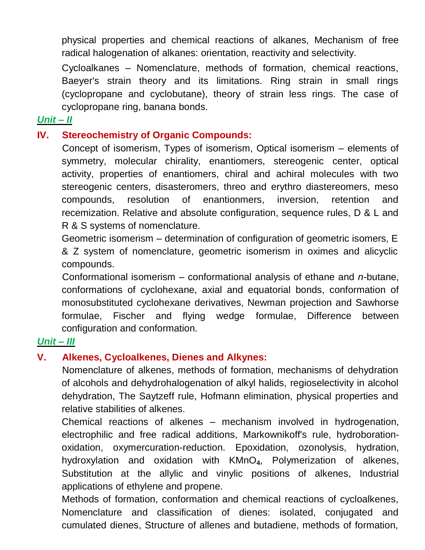physical properties and chemical reactions of alkanes, Mechanism of free radical halogenation of alkanes: orientation, reactivity and selectivity.

Cycloalkanes – Nomenclature, methods of formation, chemical reactions, Baeyer's strain theory and its limitations. Ring strain in small rings (cyclopropane and cyclobutane), theory of strain less rings. The case of cyclopropane ring, banana bonds.

## *Unit – II*

#### **IV. Stereochemistry of Organic Compounds:**

Concept of isomerism, Types of isomerism, Optical isomerism – elements of symmetry, molecular chirality, enantiomers, stereogenic center, optical activity, properties of enantiomers, chiral and achiral molecules with two stereogenic centers, disasteromers, threo and erythro diastereomers, meso compounds, resolution of enantionmers, inversion, retention and recemization. Relative and absolute configuration, sequence rules, D & L and R & S systems of nomenclature.

Geometric isomerism – determination of configuration of geometric isomers, E & Z system of nomenclature, geometric isomerism in oximes and alicyclic compounds.

Conformational isomerism – conformational analysis of ethane and *n*-butane, conformations of cyclohexane, axial and equatorial bonds, conformation of monosubstituted cyclohexane derivatives, Newman projection and Sawhorse formulae, Fischer and flying wedge formulae, Difference between configuration and conformation.

#### *Unit – III*

## **V. Alkenes, Cycloalkenes, Dienes and Alkynes:**

Nomenclature of alkenes, methods of formation, mechanisms of dehydration of alcohols and dehydrohalogenation of alkyl halids, regioselectivity in alcohol dehydration, The Saytzeff rule, Hofmann elimination, physical properties and relative stabilities of alkenes.

Chemical reactions of alkenes – mechanism involved in hydrogenation, electrophilic and free radical additions, Markownikoff's rule, hydroborationoxidation, oxymercuration-reduction. Epoxidation, ozonolysis, hydration, hydroxylation and oxidation with KMnO**4**, Polymerization of alkenes, Substitution at the allylic and vinylic positions of alkenes, Industrial applications of ethylene and propene.

Methods of formation, conformation and chemical reactions of cycloalkenes, Nomenclature and classification of dienes: isolated, conjugated and cumulated dienes, Structure of allenes and butadiene, methods of formation,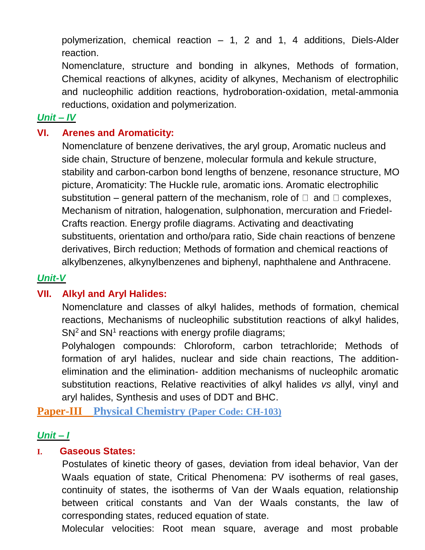polymerization, chemical reaction – 1, 2 and 1, 4 additions, Diels-Alder reaction.

Nomenclature, structure and bonding in alkynes, Methods of formation, Chemical reactions of alkynes, acidity of alkynes, Mechanism of electrophilic and nucleophilic addition reactions, hydroboration-oxidation, metal-ammonia reductions, oxidation and polymerization.

#### *Unit – IV*

#### **VI. Arenes and Aromaticity:**

Nomenclature of benzene derivatives, the aryl group, Aromatic nucleus and side chain, Structure of benzene, molecular formula and kekule structure, stability and carbon-carbon bond lengths of benzene, resonance structure, MO picture, Aromaticity: The Huckle rule, aromatic ions. Aromatic electrophilic substitution – general pattern of the mechanism, role of  $\Box$  and  $\Box$  complexes, Mechanism of nitration, halogenation, sulphonation, mercuration and Friedel-Crafts reaction. Energy profile diagrams. Activating and deactivating substituents, orientation and ortho/para ratio, Side chain reactions of benzene derivatives, Birch reduction; Methods of formation and chemical reactions of alkylbenzenes, alkynylbenzenes and biphenyl, naphthalene and Anthracene.

## *Unit-V*

## **VII. Alkyl and Aryl Halides:**

Nomenclature and classes of alkyl halides, methods of formation, chemical reactions, Mechanisms of nucleophilic substitution reactions of alkyl halides, SN<sup>2</sup> and SN<sup>1</sup> reactions with energy profile diagrams;

Polyhalogen compounds: Chloroform, carbon tetrachloride; Methods of formation of aryl halides, nuclear and side chain reactions, The additionelimination and the elimination- addition mechanisms of nucleophilc aromatic substitution reactions, Relative reactivities of alkyl halides *vs* allyl, vinyl and aryl halides, Synthesis and uses of DDT and BHC.

**Paper-III Physical Chemistry (Paper Code: CH-103)**

#### *Unit – I*

#### **I. Gaseous States:**

Postulates of kinetic theory of gases, deviation from ideal behavior, Van der Waals equation of state, Critical Phenomena: PV isotherms of real gases, continuity of states, the isotherms of Van der Waals equation, relationship between critical constants and Van der Waals constants, the law of corresponding states, reduced equation of state.

Molecular velocities: Root mean square, average and most probable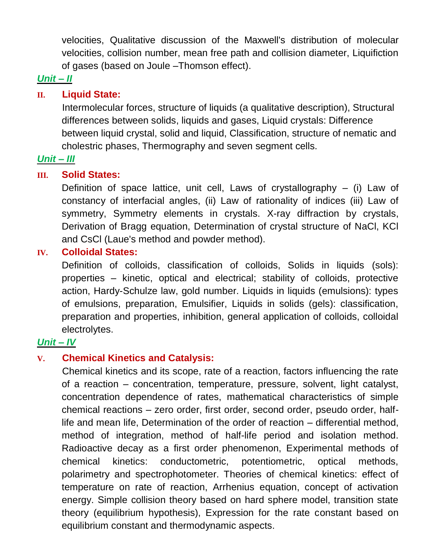velocities, Qualitative discussion of the Maxwell's distribution of molecular velocities, collision number, mean free path and collision diameter, Liquifiction of gases (based on Joule –Thomson effect).

# *Unit – II*

#### **II. Liquid State:**

Intermolecular forces, structure of liquids (a qualitative description), Structural differences between solids, liquids and gases, Liquid crystals: Difference between liquid crystal, solid and liquid, Classification, structure of nematic and cholestric phases, Thermography and seven segment cells.

## *Unit – III*

#### **III. Solid States:**

Definition of space lattice, unit cell, Laws of crystallography  $-$  (i) Law of constancy of interfacial angles, (ii) Law of rationality of indices (iii) Law of symmetry, Symmetry elements in crystals. X-ray diffraction by crystals, Derivation of Bragg equation, Determination of crystal structure of NaCl, KCl and CsCl (Laue's method and powder method).

#### **IV. Colloidal States:**

Definition of colloids, classification of colloids, Solids in liquids (sols): properties – kinetic, optical and electrical; stability of colloids, protective action, Hardy-Schulze law, gold number. Liquids in liquids (emulsions): types of emulsions, preparation, Emulsifier, Liquids in solids (gels): classification, preparation and properties, inhibition, general application of colloids, colloidal electrolytes.

#### *Unit – IV*

#### **V. Chemical Kinetics and Catalysis:**

Chemical kinetics and its scope, rate of a reaction, factors influencing the rate of a reaction – concentration, temperature, pressure, solvent, light catalyst, concentration dependence of rates, mathematical characteristics of simple chemical reactions – zero order, first order, second order, pseudo order, halflife and mean life, Determination of the order of reaction – differential method, method of integration, method of half-life period and isolation method. Radioactive decay as a first order phenomenon, Experimental methods of chemical kinetics: conductometric, potentiometric, optical methods, polarimetry and spectrophotometer. Theories of chemical kinetics: effect of temperature on rate of reaction, Arrhenius equation, concept of activation energy. Simple collision theory based on hard sphere model, transition state theory (equilibrium hypothesis), Expression for the rate constant based on equilibrium constant and thermodynamic aspects.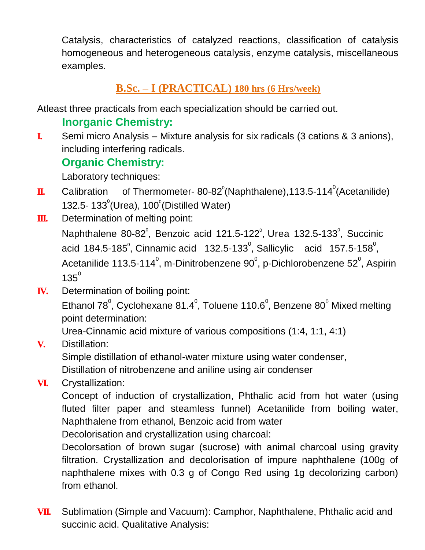Catalysis, characteristics of catalyzed reactions, classification of catalysis homogeneous and heterogeneous catalysis, enzyme catalysis, miscellaneous examples.

# **B.Sc. – I (PRACTICAL) 180 hrs (6 Hrs/week)**

Atleast three practicals from each specialization should be carried out.

# **Inorganic Chemistry:**

**I.** Semi micro Analysis – Mixture analysis for six radicals (3 cations & 3 anions), including interfering radicals.

# **Organic Chemistry:**

Laboratory techniques:

- $\mathbf{I}$ . Calibration of Thermometer- 80-82 $^{\circ}$ (Naphthalene),113.5-114 $^{\circ}$ (Acetanilide) 132.5-  $133^\circ$ (Urea),  $100^\circ$ (Distilled Water)
- **III.** Determination of melting point:

Naphthalene 80-82 $^{\circ}$ , Benzoic acid 121.5-122 $^{\circ}$ , Urea 132.5-133 $^{\circ}$ , Succinic acid 184.5-185 $^{\circ}$ , Cinnamic acid 132.5-133 $^{\circ}$ , Sallicylic acid 157.5-158 $^{\circ}$ , Acetanilide 113.5-114 $^{\circ}$ , m-Dinitrobenzene 90 $^{\circ}$ , p-Dichlorobenzene 52 $^{\circ}$ , Aspirin  $135^{0}$ 

**IV.** Determination of boiling point:

Ethanol 78 $^{\circ}$ , Cyclohexane 81.4 $^{\circ}$ , Toluene 110.6 $^{\circ}$ , Benzene 80 $^{\circ}$  Mixed melting point determination:

Urea-Cinnamic acid mixture of various compositions (1:4, 1:1, 4:1)

**V.** Distillation:

Simple distillation of ethanol-water mixture using water condenser,

Distillation of nitrobenzene and aniline using air condenser

**VI.** Crystallization:

Concept of induction of crystallization, Phthalic acid from hot water (using fluted filter paper and steamless funnel) Acetanilide from boiling water, Naphthalene from ethanol, Benzoic acid from water

Decolorisation and crystallization using charcoal:

Decolorsation of brown sugar (sucrose) with animal charcoal using gravity filtration. Crystallization and decolorisation of impure naphthalene (100g of naphthalene mixes with 0.3 g of Congo Red using 1g decolorizing carbon) from ethanol.

**VII.** Sublimation (Simple and Vacuum): Camphor, Naphthalene, Phthalic acid and succinic acid. Qualitative Analysis: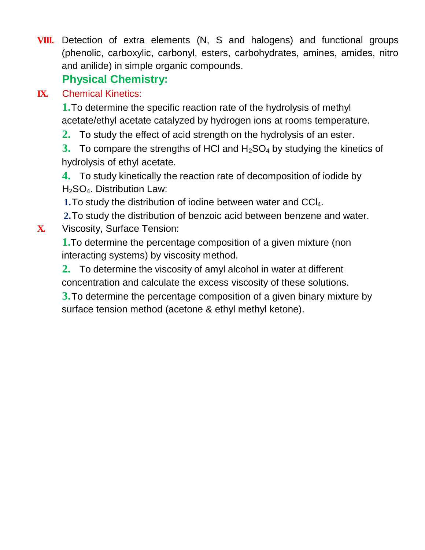**VIII.** Detection of extra elements (N, S and halogens) and functional groups (phenolic, carboxylic, carbonyl, esters, carbohydrates, amines, amides, nitro and anilide) in simple organic compounds.

# **Physical Chemistry:**

# **IX.** Chemical Kinetics:

**1.**To determine the specific reaction rate of the hydrolysis of methyl acetate/ethyl acetate catalyzed by hydrogen ions at rooms temperature.

**2.** To study the effect of acid strength on the hydrolysis of an ester.

**3.** To compare the strengths of HCI and H<sub>2</sub>SO<sub>4</sub> by studying the kinetics of hydrolysis of ethyl acetate.

**4.** To study kinetically the reaction rate of decomposition of iodide by H2SO4. Distribution Law:

**1.**To study the distribution of iodine between water and CCl4.

**2.**To study the distribution of benzoic acid between benzene and water. **X.** Viscosity, Surface Tension:

**1.**To determine the percentage composition of a given mixture (non interacting systems) by viscosity method.

**2.** To determine the viscosity of amyl alcohol in water at different concentration and calculate the excess viscosity of these solutions.

**3.**To determine the percentage composition of a given binary mixture by surface tension method (acetone & ethyl methyl ketone).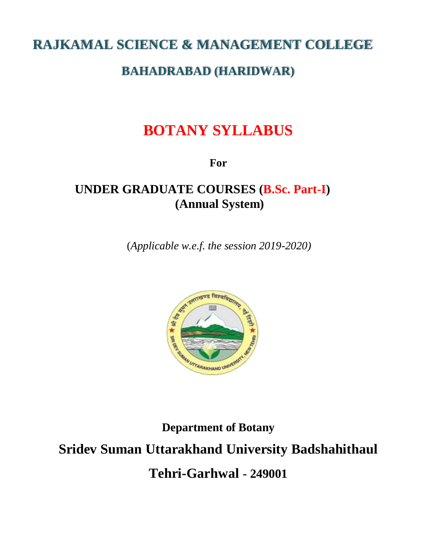# **RAJKAMAL SCIENCE & MANAGEMENT COLLEGE**

# **BAHADRABAD (HARIDWAR)**

# **BOTANY SYLLABUS**

**For**

# **UNDER GRADUATE COURSES (B.Sc. Part-I) (Annual System)**

(*Applicable w.e.f. the session 2019-2020)*



**Department of Botany Sridev Suman Uttarakhand University Badshahithaul Tehri-Garhwal - 249001**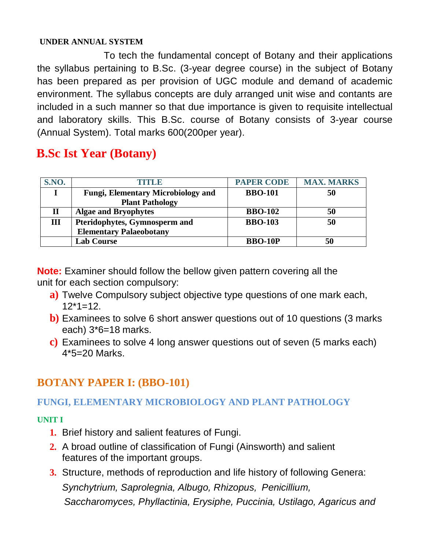#### **UNDER ANNUAL SYSTEM**

To tech the fundamental concept of Botany and their applications the syllabus pertaining to B.Sc. (3-year degree course) in the subject of Botany has been prepared as per provision of UGC module and demand of academic environment. The syllabus concepts are duly arranged unit wise and contants are included in a such manner so that due importance is given to requisite intellectual and laboratory skills. This B.Sc. course of Botany consists of 3-year course (Annual System). Total marks 600(200per year).

# **B.Sc Ist Year (Botany)**

| <b>S.NO.</b> | TITILE                                    | <b>PAPER CODE</b> | <b>MAX. MARKS</b> |
|--------------|-------------------------------------------|-------------------|-------------------|
|              | <b>Fungi, Elementary Microbiology and</b> | <b>BBO-101</b>    | 50                |
|              | <b>Plant Pathology</b>                    |                   |                   |
| п            | <b>Algae and Bryophytes</b>               | <b>BBO-102</b>    | 50                |
| Ш            | Pteridophytes, Gymnosperm and             | <b>BBO-103</b>    | 50                |
|              | <b>Elementary Palaeobotany</b>            |                   |                   |
|              | <b>Lab Course</b>                         | <b>BBO-10P</b>    | 50                |

**Note:** Examiner should follow the bellow given pattern covering all the unit for each section compulsory:

- **a)** Twelve Compulsory subject objective type questions of one mark each,  $12*1=12$ .
- **b)** Examinees to solve 6 short answer questions out of 10 questions (3 marks each) 3\*6=18 marks.
- **c)** Examinees to solve 4 long answer questions out of seven (5 marks each) 4\*5=20 Marks.

# **BOTANY PAPER I: (BBO-101)**

# **FUNGI, ELEMENTARY MICROBIOLOGY AND PLANT PATHOLOGY**

#### **UNIT I**

- **1.** Brief history and salient features of Fungi.
- **2.** A broad outline of classification of Fungi (Ainsworth) and salient features of the important groups.
- **3.** Structure, methods of reproduction and life history of following Genera: *Synchytrium, Saprolegnia, Albugo, Rhizopus, Penicillium, Saccharomyces, Phyllactinia, Erysiphe, Puccinia, Ustilago, Agaricus and*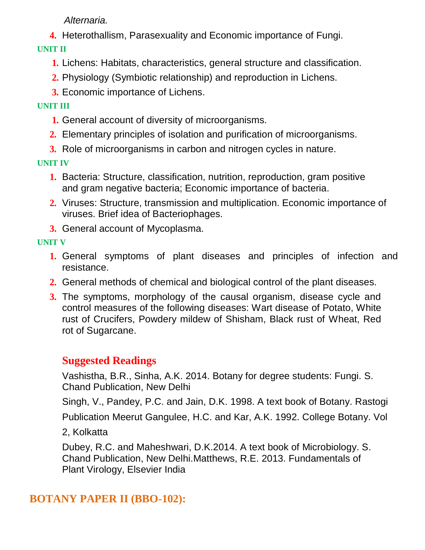*Alternaria.*

**4.** Heterothallism, Parasexuality and Economic importance of Fungi.

**UNIT II**

- **1.** Lichens: Habitats, characteristics, general structure and classification.
- **2.** Physiology (Symbiotic relationship) and reproduction in Lichens.
- **3.** Economic importance of Lichens.

## **UNIT III**

- **1.** General account of diversity of microorganisms.
- **2.** Elementary principles of isolation and purification of microorganisms.
- **3.** Role of microorganisms in carbon and nitrogen cycles in nature.

**UNIT IV**

- **1.** Bacteria: Structure, classification, nutrition, reproduction, gram positive and gram negative bacteria; Economic importance of bacteria.
- **2.** Viruses: Structure, transmission and multiplication. Economic importance of viruses. Brief idea of Bacteriophages.
- **3.** General account of Mycoplasma.

# **UNIT V**

- **1.** General symptoms of plant diseases and principles of infection and resistance.
- **2.** General methods of chemical and biological control of the plant diseases.
- **3.** The symptoms, morphology of the causal organism, disease cycle and control measures of the following diseases: Wart disease of Potato, White rust of Crucifers, Powdery mildew of Shisham, Black rust of Wheat, Red rot of Sugarcane.

# **Suggested Readings**

Vashistha, B.R., Sinha, A.K. 2014. Botany for degree students: Fungi. S. Chand Publication, New Delhi

Singh, V., Pandey, P.C. and Jain, D.K. 1998. A text book of Botany. Rastogi

Publication Meerut Gangulee, H.C. and Kar, A.K. 1992. College Botany. Vol

2, Kolkatta

Dubey, R.C. and Maheshwari, D.K.2014. A text book of Microbiology. S. Chand Publication, New Delhi.Matthews, R.E. 2013. Fundamentals of Plant Virology, Elsevier India

# **BOTANY PAPER II (BBO-102):**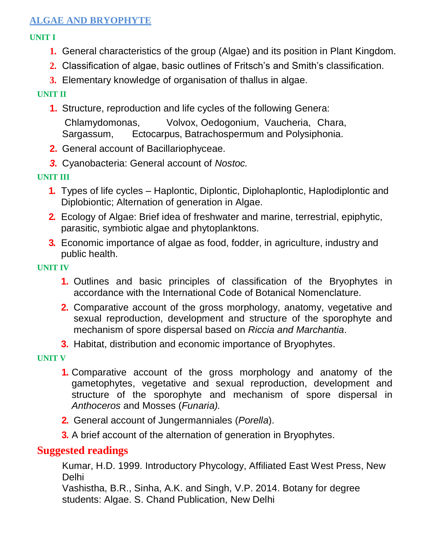## **ALGAE AND BRYOPHYTE**

#### **UNIT I**

- **1.** General characteristics of the group (Algae) and its position in Plant Kingdom.
- **2.** Classification of algae, basic outlines of Fritsch's and Smith's classification.
- **3.** Elementary knowledge of organisation of thallus in algae.

#### **UNIT II**

- **1.** Structure, reproduction and life cycles of the following Genera: Chlamydomonas, Volvox, Oedogonium, Vaucheria, Chara, Sargassum, Ectocarpus, Batrachospermum and Polysiphonia.
- **2.** General account of Bacillariophyceae.
- *3.* Cyanobacteria: General account of *Nostoc.*

#### **UNIT III**

- **1.** Types of life cycles Haplontic, Diplontic, Diplohaplontic, Haplodiplontic and Diplobiontic; Alternation of generation in Algae.
- **2.** Ecology of Algae: Brief idea of freshwater and marine, terrestrial, epiphytic, parasitic, symbiotic algae and phytoplanktons.
- **3.** Economic importance of algae as food, fodder, in agriculture, industry and public health.

#### **UNIT IV**

- **1.** Outlines and basic principles of classification of the Bryophytes in accordance with the International Code of Botanical Nomenclature.
- **2.** Comparative account of the gross morphology, anatomy, vegetative and sexual reproduction, development and structure of the sporophyte and mechanism of spore dispersal based on *Riccia and Marchantia*.
- **3.** Habitat, distribution and economic importance of Bryophytes.

#### **UNIT V**

- **1.** Comparative account of the gross morphology and anatomy of the gametophytes, vegetative and sexual reproduction, development and structure of the sporophyte and mechanism of spore dispersal in *Anthoceros* and Mosses (*Funaria).*
- **2.** General account of Jungermanniales (*Porella*).
- **3.** A brief account of the alternation of generation in Bryophytes.

# **Suggested readings**

Kumar, H.D. 1999. Introductory Phycology, Affiliated East West Press, New Delhi

Vashistha, B.R., Sinha, A.K. and Singh, V.P. 2014. Botany for degree students: Algae. S. Chand Publication, New Delhi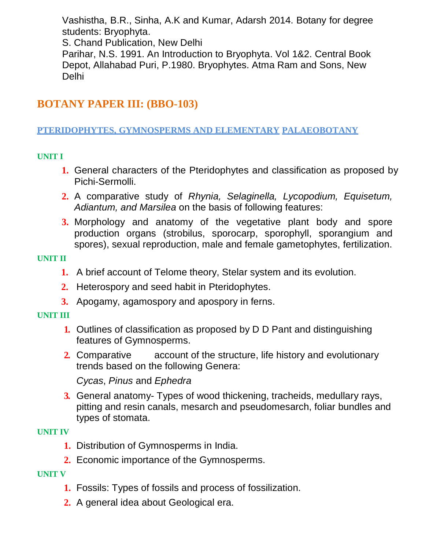Vashistha, B.R., Sinha, A.K and Kumar, Adarsh 2014. Botany for degree students: Bryophyta.

S. Chand Publication, New Delhi

Parihar, N.S. 1991. An Introduction to Bryophyta. Vol 1&2. Central Book Depot, Allahabad Puri, P.1980. Bryophytes. Atma Ram and Sons, New Delhi

# **BOTANY PAPER III: (BBO-103)**

#### **PTERIDOPHYTES, GYMNOSPERMS AND ELEMENTARY PALAEOBOTANY**

#### **UNIT I**

- **1.** General characters of the Pteridophytes and classification as proposed by Pichi-Sermolli.
- **2.** A comparative study of *Rhynia, Selaginella, Lycopodium, Equisetum, Adiantum, and Marsilea* on the basis of following features:
- **3.** Morphology and anatomy of the vegetative plant body and spore production organs (strobilus, sporocarp, sporophyll, sporangium and spores), sexual reproduction, male and female gametophytes, fertilization.

#### **UNIT II**

- **1.** A brief account of Telome theory, Stelar system and its evolution.
- **2.** Heterospory and seed habit in Pteridophytes.
- **3.** Apogamy, agamospory and apospory in ferns.

#### **UNIT III**

- **1.** Outlines of classification as proposed by D D Pant and distinguishing features of Gymnosperms.
- **2.** Comparative account of the structure, life history and evolutionary trends based on the following Genera:

*Cycas*, *Pinus* and *Ephedra*

**3.** General anatomy- Types of wood thickening, tracheids, medullary rays, pitting and resin canals, mesarch and pseudomesarch, foliar bundles and types of stomata.

#### **UNIT IV**

- **1.** Distribution of Gymnosperms in India.
- **2.** Economic importance of the Gymnosperms.

#### **UNIT V**

- **1.** Fossils: Types of fossils and process of fossilization.
- **2.** A general idea about Geological era.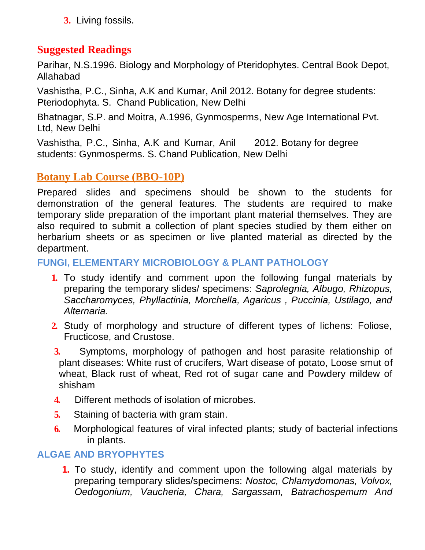**3.** Living fossils.

# **Suggested Readings**

Parihar, N.S.1996. Biology and Morphology of Pteridophytes. Central Book Depot, Allahabad

Vashistha, P.C., Sinha, A.K and Kumar, Anil 2012. Botany for degree students: Pteriodophyta. S. Chand Publication, New Delhi

Bhatnagar, S.P. and Moitra, A.1996, Gynmosperms, New Age International Pvt. Ltd, New Delhi

Vashistha, P.C., Sinha, A.K and Kumar, Anil 2012. Botany for degree students: Gynmosperms. S. Chand Publication, New Delhi

# **Botany Lab Course (BBO-10P)**

Prepared slides and specimens should be shown to the students for demonstration of the general features. The students are required to make temporary slide preparation of the important plant material themselves. They are also required to submit a collection of plant species studied by them either on herbarium sheets or as specimen or live planted material as directed by the department.

## **FUNGI, ELEMENTARY MICROBIOLOGY & PLANT PATHOLOGY**

- **1.** To study identify and comment upon the following fungal materials by preparing the temporary slides/ specimens: *Saprolegnia, Albugo, Rhizopus, Saccharomyces, Phyllactinia, Morchella, Agaricus , Puccinia, Ustilago, and Alternaria.*
- **2.** Study of morphology and structure of different types of lichens: Foliose, Fructicose, and Crustose.
- **3.** Symptoms, morphology of pathogen and host parasite relationship of plant diseases: White rust of crucifers, Wart disease of potato, Loose smut of wheat, Black rust of wheat, Red rot of sugar cane and Powdery mildew of shisham
- **4.** Different methods of isolation of microbes.
- **5.** Staining of bacteria with gram stain.
- **6.** Morphological features of viral infected plants; study of bacterial infections in plants.

## **ALGAE AND BRYOPHYTES**

**1.** To study, identify and comment upon the following algal materials by preparing temporary slides/specimens: *Nostoc, Chlamydomonas, Volvox, Oedogonium, Vaucheria, Chara, Sargassam, Batrachospemum And*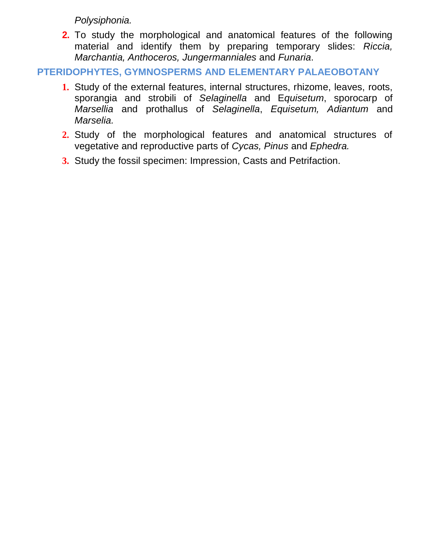*Polysiphonia.*

**2.** To study the morphological and anatomical features of the following material and identify them by preparing temporary slides: *Riccia, Marchantia, Anthoceros, Jungermanniales* and *Funaria*.

**PTERIDOPHYTES, GYMNOSPERMS AND ELEMENTARY PALAEOBOTANY**

- **1.** Study of the external features, internal structures, rhizome, leaves, roots, sporangia and strobili of *Selaginella* and E*quisetum*, sporocarp of *Marsellia* and prothallus of *Selaginella*, *Equisetum, Adiantum* and *Marselia.*
- **2.** Study of the morphological features and anatomical structures of vegetative and reproductive parts of *Cycas, Pinus* and *Ephedra.*
- **3.** Study the fossil specimen: Impression, Casts and Petrifaction.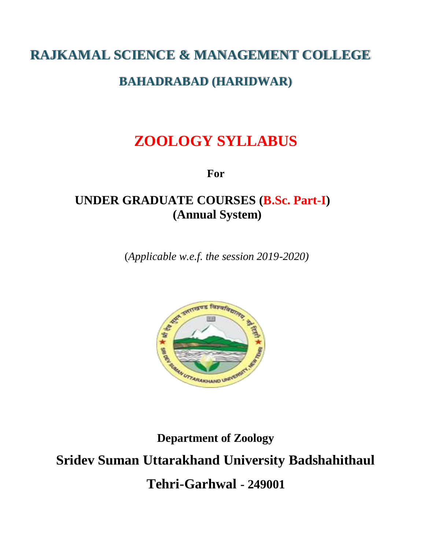# **RAJKAMAL SCIENCE & MANAGEMENT COLLEGE**

# **BAHADRABAD (HARIDWAR)**

# **ZOOLOGY SYLLABUS**

**For**

# **UNDER GRADUATE COURSES (B.Sc. Part-I) (Annual System)**

(*Applicable w.e.f. the session 2019-2020)*



**Department of Zoology Sridev Suman Uttarakhand University Badshahithaul Tehri-Garhwal - 249001**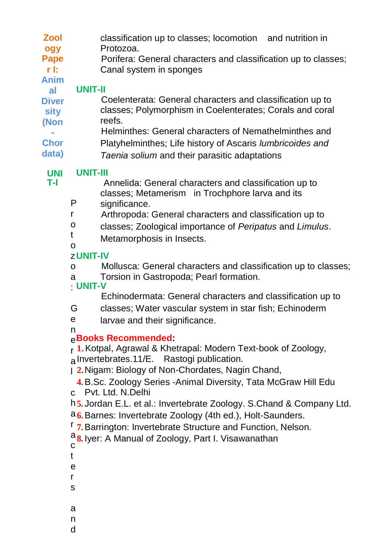- **Zool** classification up to classes; locomotion and nutrition in
- **ogy**  Protozoa.
- **Pape** Porifera: General characters and classification up to classes;
- **r I:**  Canal system in sponges

#### **Anim al**

# **UNIT-II**

- **Diver sity (Non** Coelenterata: General characters and classification up to classes; Polymorphism in Coelenterates; Corals and coral reefs.
- **-** Helminthes: General characters of Nemathelminthes and
- **Chor** Platyhelminthes; Life history of Ascaris *lumbricoides and*
- **data)** *Taenia solium* and their parasitic adaptations

#### **UNI UNIT-III**

**T-I**

 Annelida: General characters and classification up to classes; Metamerism in Trochphore larva and its

- P significance.
- r Arthropoda: General characters and classification up to
- o classes; Zoological importance of *Peripatus* and *Limulus*.
- t Metamorphosis in Insects.
- o

# z **UNIT-IV**

- o Mollusca: General characters and classification up to classes;
- a Torsion in Gastropoda; Pearl formation.
- : **UNIT-V**

Echinodermata: General characters and classification up to

- G classes; Water vascular system in star fish; Echinoderm
- e larvae and their significance.

#### n e **Books Recommended:**

r **1.**Kotpal, Agrawal & Khetrapal: Modern Text-book of Zoology, a Invertebrates.11/E. Rastogi publication.

l **2.**Nigam: Biology of Non-Chordates, Nagin Chand,

**4.**B.Sc. Zoology Series -Animal Diversity, Tata McGraw Hill Edu

c Pvt. Ltd. N.Delhi

h **5.** Jordan E.L. et al.: Invertebrate Zoology. S.Chand & Company Ltd.

- a **6.**Barnes: Invertebrate Zoology (4th ed.), Holt-Saunders.
- r **7.**Barrington: Invertebrate Structure and Function, Nelson.

a **8.** Iyer: A Manual of Zoology, Part I. Visawanathan $\mathbf{C}$ 

- t
- e
- r
- s
- 
- a
- n
- d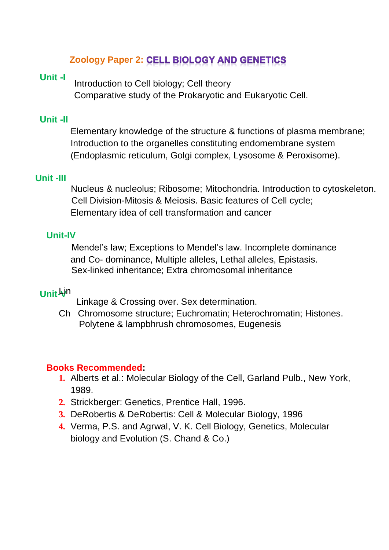# **Zoology Paper 2: CELL BIOLOGY AND GENETICS**

#### **Unit -I**

Introduction to Cell biology; Cell theory Comparative study of the Prokaryotic and Eukaryotic Cell.

#### **Unit -II**

Elementary knowledge of the structure & functions of plasma membrane; Introduction to the organelles constituting endomembrane system (Endoplasmic reticulum, Golgi complex, Lysosome & Peroxisome).

#### **Unit -III**

 Nucleus & nucleolus; Ribosome; Mitochondria. Introduction to cytoskeleton. Cell Division-Mitosis & Meiosis. Basic features of Cell cycle; Elementary idea of cell transformation and cancer

#### **Unit-IV**

 Mendel's law; Exceptions to Mendel's law. Incomplete dominance and Co- dominance, Multiple alleles, Lethal alleles, Epistasis. Sex-linked inheritance; Extra chromosomal inheritance

# **Unit Ain**

Linkage & Crossing over. Sex determination.

Ch Chromosome structure; Euchromatin; Heterochromatin; Histones. Polytene & lampbhrush chromosomes, Eugenesis

#### **Books Recommended:**

- **1.** Alberts et al.: Molecular Biology of the Cell, Garland Pulb., New York, 1989.
- **2.** Strickberger: Genetics, Prentice Hall, 1996.
- **3.** DeRobertis & DeRobertis: Cell & Molecular Biology, 1996
- **4.** Verma, P.S. and Agrwal, V. K. Cell Biology, Genetics, Molecular biology and Evolution (S. Chand & Co.)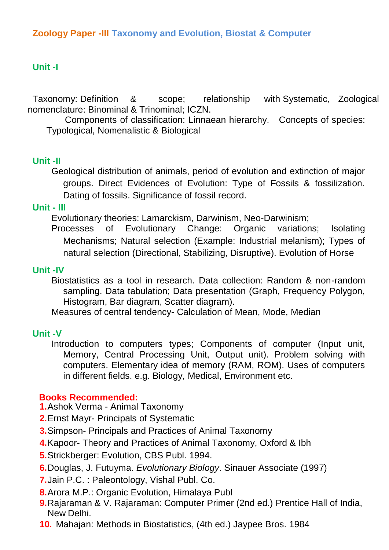#### **Unit -I**

Taxonomy: Definition & scope; relationship with Systematic, Zoological nomenclature: Binominal & Trinominal; ICZN.

 Components of classification: Linnaean hierarchy. Concepts of species: Typological, Nomenalistic & Biological

#### **Unit -II**

Geological distribution of animals, period of evolution and extinction of major groups. Direct Evidences of Evolution: Type of Fossils & fossilization. Dating of fossils. Significance of fossil record.

#### **Unit - III**

Evolutionary theories: Lamarckism, Darwinism, Neo-Darwinism;

Processes of Evolutionary Change: Organic variations; Isolating Mechanisms; Natural selection (Example: Industrial melanism); Types of natural selection (Directional, Stabilizing, Disruptive). Evolution of Horse

#### **Unit -IV**

Biostatistics as a tool in research. Data collection: Random & non-random sampling. Data tabulation; Data presentation (Graph, Frequency Polygon, Histogram, Bar diagram, Scatter diagram).

Measures of central tendency- Calculation of Mean, Mode, Median

#### **Unit -V**

Introduction to computers types; Components of computer (Input unit, Memory, Central Processing Unit, Output unit). Problem solving with computers. Elementary idea of memory (RAM, ROM). Uses of computers in different fields. e.g. Biology, Medical, Environment etc.

#### **Books Recommended:**

- **1.**Ashok Verma Animal Taxonomy
- **2.**Ernst Mayr- Principals of Systematic
- **3.**Simpson- Principals and Practices of Animal Taxonomy
- **4.**Kapoor- Theory and Practices of Animal Taxonomy, Oxford & Ibh
- **5.**Strickberger: Evolution, CBS Publ. 1994.
- **6.**Douglas, J. Futuyma. *Evolutionary Biology*. Sinauer Associate (1997)
- **7.**Jain P.C. : Paleontology, Vishal Publ. Co.
- **8.**Arora M.P.: Organic Evolution, Himalaya Publ
- **9.**Rajaraman & V. Rajaraman: Computer Primer (2nd ed.) Prentice Hall of India, New Delhi.
- **10.** Mahajan: Methods in Biostatistics, (4th ed.) Jaypee Bros. 1984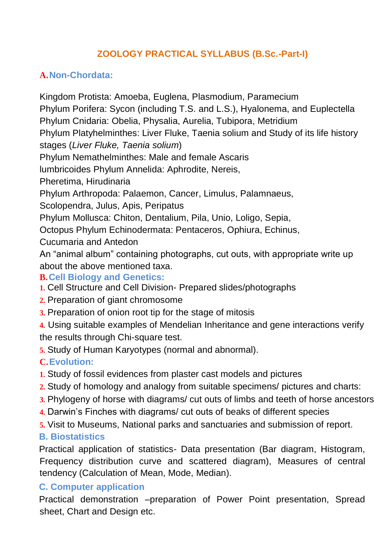# **ZOOLOGY PRACTICAL SYLLABUS (B.Sc.-Part-I)**

## **A.Non-Chordata:**

Kingdom Protista: Amoeba, Euglena, Plasmodium, Paramecium Phylum Porifera: Sycon (including T.S. and L.S.), Hyalonema, and Euplectella Phylum Cnidaria: Obelia, Physalia, Aurelia, Tubipora, Metridium Phylum Platyhelminthes: Liver Fluke, Taenia solium and Study of its life history stages (*Liver Fluke, Taenia solium*) Phylum Nemathelminthes: Male and female Ascaris lumbricoides Phylum Annelida: Aphrodite, Nereis, Pheretima, Hirudinaria Phylum Arthropoda: Palaemon, Cancer, Limulus, Palamnaeus, Scolopendra, Julus, Apis, Peripatus Phylum Mollusca: Chiton, Dentalium, Pila, Unio, Loligo, Sepia, Octopus Phylum Echinodermata: Pentaceros, Ophiura, Echinus, Cucumaria and Antedon An "animal album" containing photographs, cut outs, with appropriate write up about the above mentioned taxa. **B.Cell Biology and Genetics: 1.** Cell Structure and Cell Division- Prepared slides/photographs **2.** Preparation of giant chromosome **3.** Preparation of onion root tip for the stage of mitosis **4.** Using suitable examples of Mendelian Inheritance and gene interactions verify the results through Chi-square test. **5.** Study of Human Karyotypes (normal and abnormal). **C.Evolution: 1.** Study of fossil evidences from plaster cast models and pictures **2.** Study of homology and analogy from suitable specimens/ pictures and charts: **3.** Phylogeny of horse with diagrams/ cut outs of limbs and teeth of horse ancestors **4.** Darwin's Finches with diagrams/ cut outs of beaks of different species **5.** Visit to Museums, National parks and sanctuaries and submission of report. **B. Biostatistics**

Practical application of statistics- Data presentation (Bar diagram, Histogram, Frequency distribution curve and scattered diagram), Measures of central tendency (Calculation of Mean, Mode, Median).

## **C. Computer application**

Practical demonstration –preparation of Power Point presentation, Spread sheet, Chart and Design etc.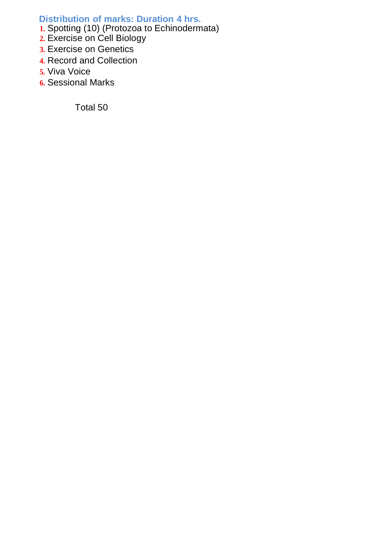#### **Distribution of marks: Duration 4 hrs.**

- **1.** Spotting (10) (Protozoa to Echinodermata)
- **2.** Exercise on Cell Biology
- **3.** Exercise on Genetics
- **4.** Record and Collection
- **5.** Viva Voice
- **6.** Sessional Marks

Total 50